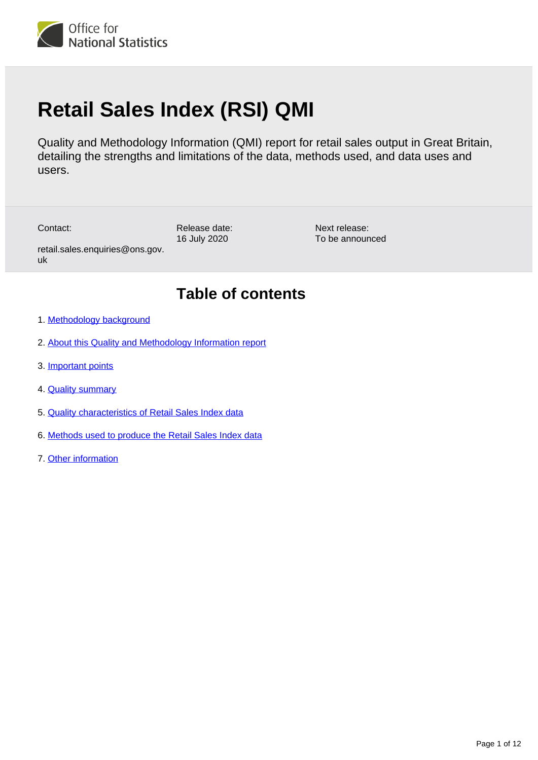

# **Retail Sales Index (RSI) QMI**

Quality and Methodology Information (QMI) report for retail sales output in Great Britain, detailing the strengths and limitations of the data, methods used, and data uses and users.

Contact:

uk

Release date: 16 July 2020

Next release: To be announced

# **Table of contents**

1. [Methodology background](#page-1-0)

retail.sales.enquiries@ons.gov.

- 2. [About this Quality and Methodology Information report](#page-1-1)
- 3. [Important points](#page-1-2)
- 4. [Quality summary](#page-2-0)
- 5. [Quality characteristics of Retail Sales Index data](#page-2-1)
- 6. [Methods used to produce the Retail Sales Index data](#page-6-0)
- 7. [Other information](#page-11-0)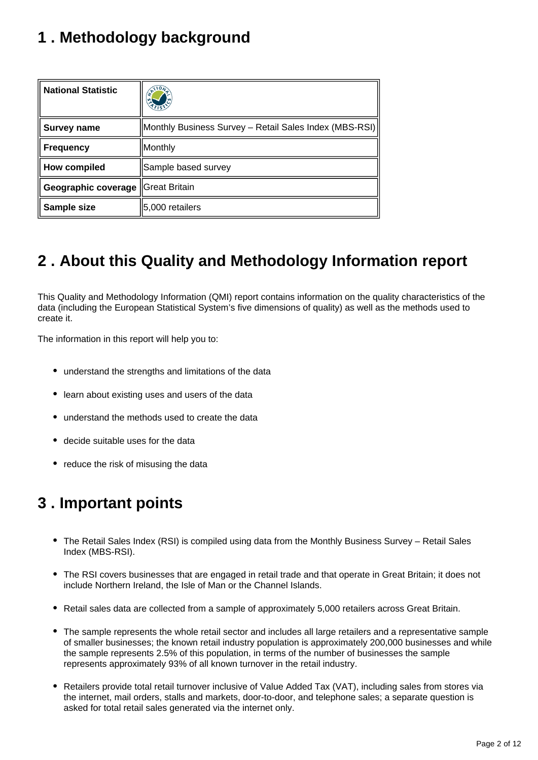# <span id="page-1-0"></span>**1 . Methodology background**

| <b>National Statistic</b>           | $x^{110}$                                              |
|-------------------------------------|--------------------------------------------------------|
| Survey name                         | Monthly Business Survey - Retail Sales Index (MBS-RSI) |
| <b>Frequency</b>                    | Monthly                                                |
| <b>How compiled</b>                 | Sample based survey                                    |
| Geographic coverage   Great Britain |                                                        |
| Sample size                         | 5,000 retailers                                        |

# <span id="page-1-1"></span>**2 . About this Quality and Methodology Information report**

This Quality and Methodology Information (QMI) report contains information on the quality characteristics of the data (including the European Statistical System's five dimensions of quality) as well as the methods used to create it.

The information in this report will help you to:

- understand the strengths and limitations of the data
- learn about existing uses and users of the data
- understand the methods used to create the data
- decide suitable uses for the data
- reduce the risk of misusing the data

# <span id="page-1-2"></span>**3 . Important points**

- The Retail Sales Index (RSI) is compiled using data from the Monthly Business Survey Retail Sales Index (MBS-RSI).
- The RSI covers businesses that are engaged in retail trade and that operate in Great Britain; it does not include Northern Ireland, the Isle of Man or the Channel Islands.
- Retail sales data are collected from a sample of approximately 5,000 retailers across Great Britain.
- The sample represents the whole retail sector and includes all large retailers and a representative sample of smaller businesses; the known retail industry population is approximately 200,000 businesses and while the sample represents 2.5% of this population, in terms of the number of businesses the sample represents approximately 93% of all known turnover in the retail industry.
- Retailers provide total retail turnover inclusive of Value Added Tax (VAT), including sales from stores via the internet, mail orders, stalls and markets, door-to-door, and telephone sales; a separate question is asked for total retail sales generated via the internet only.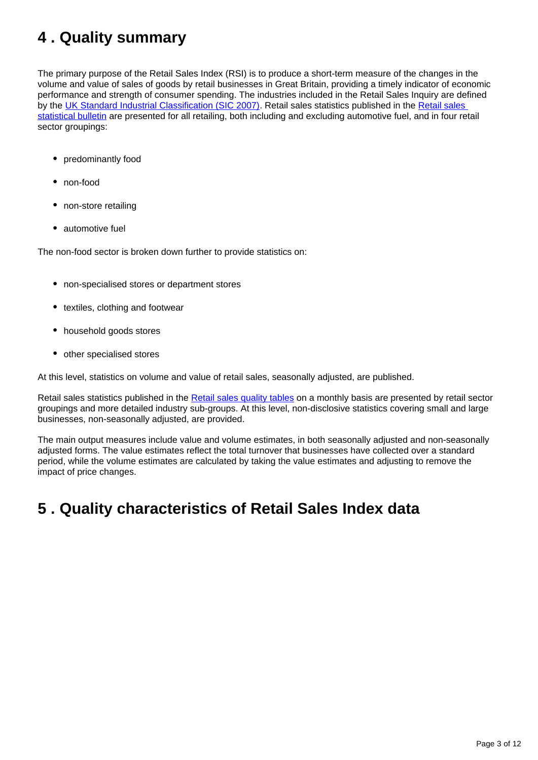# <span id="page-2-0"></span>**4 . Quality summary**

The primary purpose of the Retail Sales Index (RSI) is to produce a short-term measure of the changes in the volume and value of sales of goods by retail businesses in Great Britain, providing a timely indicator of economic performance and strength of consumer spending. The industries included in the Retail Sales Inquiry are defined by the [UK Standard Industrial Classification \(SIC 2007\).](https://www.ons.gov.uk/methodology/classificationsandstandards/ukstandardindustrialclassificationofeconomicactivities/uksic2007) Retail sales statistics published in the [Retail sales](https://www.ons.gov.uk/businessindustryandtrade/retailindustry/bulletins/retailsales/previousReleases)  [statistical bulletin](https://www.ons.gov.uk/businessindustryandtrade/retailindustry/bulletins/retailsales/previousReleases) are presented for all retailing, both including and excluding automotive fuel, and in four retail sector groupings:

- predominantly food
- non-food
- non-store retailing
- automotive fuel

The non-food sector is broken down further to provide statistics on:

- non-specialised stores or department stores
- textiles, clothing and footwear
- household goods stores
- other specialised stores

At this level, statistics on volume and value of retail sales, seasonally adjusted, are published.

Retail sales statistics published in the [Retail sales quality tables](https://www.ons.gov.uk/businessindustryandtrade/retailindustry/datasets/retailsalesqualitytables) on a monthly basis are presented by retail sector groupings and more detailed industry sub-groups. At this level, non-disclosive statistics covering small and large businesses, non-seasonally adjusted, are provided.

The main output measures include value and volume estimates, in both seasonally adjusted and non-seasonally adjusted forms. The value estimates reflect the total turnover that businesses have collected over a standard period, while the volume estimates are calculated by taking the value estimates and adjusting to remove the impact of price changes.

# <span id="page-2-1"></span>**5 . Quality characteristics of Retail Sales Index data**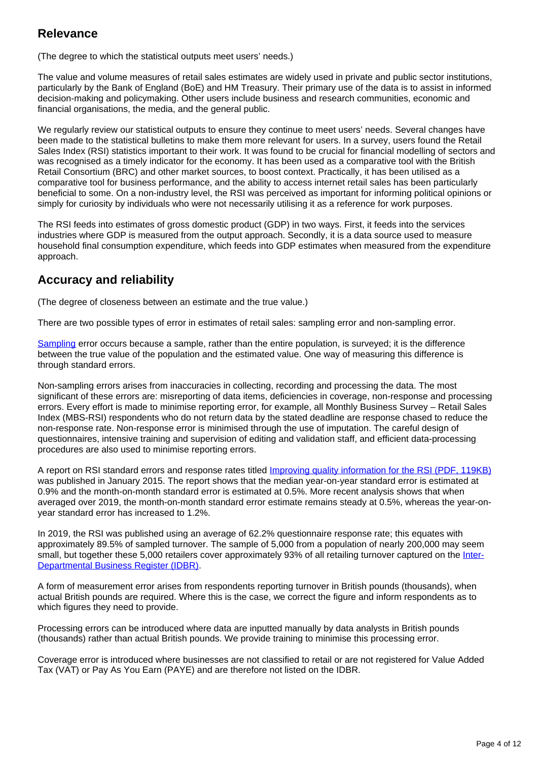#### **Relevance**

(The degree to which the statistical outputs meet users' needs.)

The value and volume measures of retail sales estimates are widely used in private and public sector institutions, particularly by the Bank of England (BoE) and HM Treasury. Their primary use of the data is to assist in informed decision-making and policymaking. Other users include business and research communities, economic and financial organisations, the media, and the general public.

We regularly review our statistical outputs to ensure they continue to meet users' needs. Several changes have been made to the statistical bulletins to make them more relevant for users. In a survey, users found the Retail Sales Index (RSI) statistics important to their work. It was found to be crucial for financial modelling of sectors and was recognised as a timely indicator for the economy. It has been used as a comparative tool with the British Retail Consortium (BRC) and other market sources, to boost context. Practically, it has been utilised as a comparative tool for business performance, and the ability to access internet retail sales has been particularly beneficial to some. On a non-industry level, the RSI was perceived as important for informing political opinions or simply for curiosity by individuals who were not necessarily utilising it as a reference for work purposes.

The RSI feeds into estimates of gross domestic product (GDP) in two ways. First, it feeds into the services industries where GDP is measured from the output approach. Secondly, it is a data source used to measure household final consumption expenditure, which feeds into GDP estimates when measured from the expenditure approach.

## **Accuracy and reliability**

(The degree of closeness between an estimate and the true value.)

There are two possible types of error in estimates of retail sales: sampling error and non-sampling error.

[Sampling](https://www.ons.gov.uk/methodology/methodologytopicsandstatisticalconcepts/uncertaintyandhowwemeasureit#sampling-the-population) error occurs because a sample, rather than the entire population, is surveyed; it is the difference between the true value of the population and the estimated value. One way of measuring this difference is through standard errors.

Non-sampling errors arises from inaccuracies in collecting, recording and processing the data. The most significant of these errors are: misreporting of data items, deficiencies in coverage, non-response and processing errors. Every effort is made to minimise reporting error, for example, all Monthly Business Survey – Retail Sales Index (MBS-RSI) respondents who do not return data by the stated deadline are response chased to reduce the non-response rate. Non-response error is minimised through the use of imputation. The careful design of questionnaires, intensive training and supervision of editing and validation staff, and efficient data-processing procedures are also used to minimise reporting errors.

A report on RSI standard errors and response rates titled [Improving quality information for the RSI \(PDF, 119KB\)](http://www.ons.gov.uk/ons/guide-method/method-quality/specific/economy/retail-sales/improving-quality-information-for-the-retail-sales-index.pdf) was published in January 2015. The report shows that the median year-on-year standard error is estimated at 0.9% and the month-on-month standard error is estimated at 0.5%. More recent analysis shows that when averaged over 2019, the month-on-month standard error estimate remains steady at 0.5%, whereas the year-onyear standard error has increased to 1.2%.

In 2019, the RSI was published using an average of 62.2% questionnaire response rate; this equates with approximately 89.5% of sampled turnover. The sample of 5,000 from a population of nearly 200,000 may seem small, but together these 5,000 retailers cover approximately 93% of all retailing turnover captured on the [Inter-](https://www.ons.gov.uk/aboutus/whatwedo/paidservices/interdepartmentalbusinessregisteridbr)[Departmental Business Register \(IDBR\)](https://www.ons.gov.uk/aboutus/whatwedo/paidservices/interdepartmentalbusinessregisteridbr).

A form of measurement error arises from respondents reporting turnover in British pounds (thousands), when actual British pounds are required. Where this is the case, we correct the figure and inform respondents as to which figures they need to provide.

Processing errors can be introduced where data are inputted manually by data analysts in British pounds (thousands) rather than actual British pounds. We provide training to minimise this processing error.

Coverage error is introduced where businesses are not classified to retail or are not registered for Value Added Tax (VAT) or Pay As You Earn (PAYE) and are therefore not listed on the IDBR.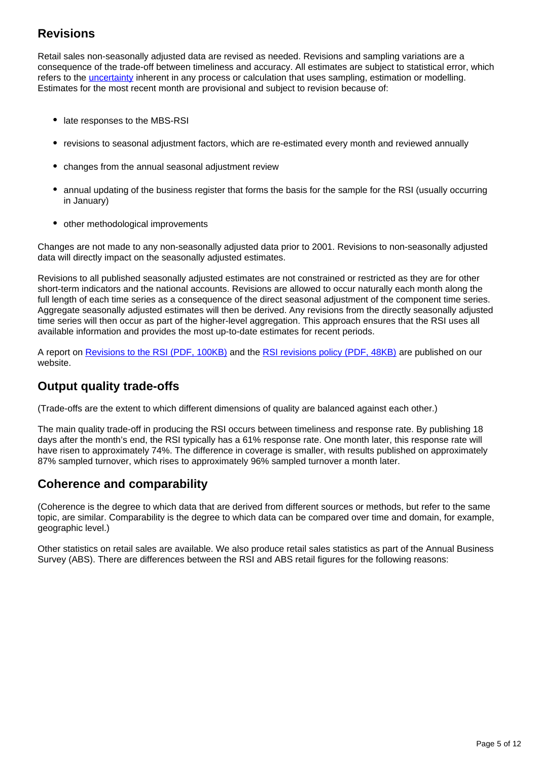# **Revisions**

Retail sales non-seasonally adjusted data are revised as needed. Revisions and sampling variations are a consequence of the trade-off between timeliness and accuracy. All estimates are subject to statistical error, which refers to the *uncertainty* inherent in any process or calculation that uses sampling, estimation or modelling. Estimates for the most recent month are provisional and subject to revision because of:

- late responses to the MBS-RSI
- revisions to seasonal adjustment factors, which are re-estimated every month and reviewed annually
- changes from the annual seasonal adjustment review
- annual updating of the business register that forms the basis for the sample for the RSI (usually occurring in January)
- other methodological improvements

Changes are not made to any non-seasonally adjusted data prior to 2001. Revisions to non-seasonally adjusted data will directly impact on the seasonally adjusted estimates.

Revisions to all published seasonally adjusted estimates are not constrained or restricted as they are for other short-term indicators and the national accounts. Revisions are allowed to occur naturally each month along the full length of each time series as a consequence of the direct seasonal adjustment of the component time series. Aggregate seasonally adjusted estimates will then be derived. Any revisions from the directly seasonally adjusted time series will then occur as part of the higher-level aggregation. This approach ensures that the RSI uses all available information and provides the most up-to-date estimates for recent periods.

A report on [Revisions to the RSI \(PDF, 100KB\)](http://www.ons.gov.uk/ons/guide-method/method-quality/specific/economy/retail-sales/revisions-to-the-retail-sales-index-2014.pdf) and the [RSI revisions policy \(PDF, 48KB\)](http://www.ons.gov.uk/ons/guide-method/revisions/revisions-policies-by-theme/economy/retail-sales-index-revisions-policy.pdf) are published on our website.

# **Output quality trade-offs**

(Trade-offs are the extent to which different dimensions of quality are balanced against each other.)

The main quality trade-off in producing the RSI occurs between timeliness and response rate. By publishing 18 days after the month's end, the RSI typically has a 61% response rate. One month later, this response rate will have risen to approximately 74%. The difference in coverage is smaller, with results published on approximately 87% sampled turnover, which rises to approximately 96% sampled turnover a month later.

## **Coherence and comparability**

(Coherence is the degree to which data that are derived from different sources or methods, but refer to the same topic, are similar. Comparability is the degree to which data can be compared over time and domain, for example, geographic level.)

Other statistics on retail sales are available. We also produce retail sales statistics as part of the Annual Business Survey (ABS). There are differences between the RSI and ABS retail figures for the following reasons: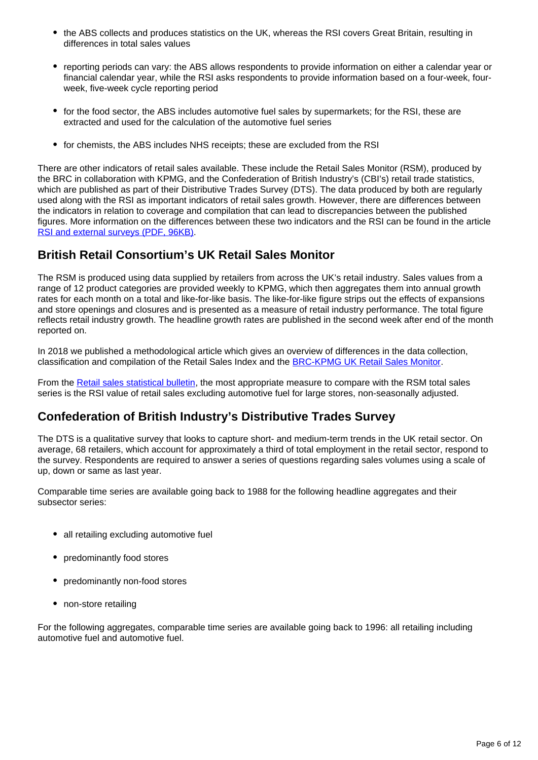- the ABS collects and produces statistics on the UK, whereas the RSI covers Great Britain, resulting in differences in total sales values
- reporting periods can vary: the ABS allows respondents to provide information on either a calendar year or financial calendar year, while the RSI asks respondents to provide information based on a four-week, fourweek, five-week cycle reporting period
- for the food sector, the ABS includes automotive fuel sales by supermarkets; for the RSI, these are extracted and used for the calculation of the automotive fuel series
- for chemists, the ABS includes NHS receipts; these are excluded from the RSI

There are other indicators of retail sales available. These include the Retail Sales Monitor (RSM), produced by the BRC in collaboration with KPMG, and the Confederation of British Industry's (CBI's) retail trade statistics, which are published as part of their Distributive Trades Survey (DTS). The data produced by both are regularly used along with the RSI as important indicators of retail sales growth. However, there are differences between the indicators in relation to coverage and compilation that can lead to discrepancies between the published figures. More information on the differences between these two indicators and the RSI can be found in the article [RSI and external surveys \(PDF, 96KB\)](http://www.ons.gov.uk/ons/guide-method/method-quality/specific/economy/retail-sales/comparability-of-rsi-sales-and-external-indicators-2012-13.pdf).

## **British Retail Consortium's UK Retail Sales Monitor**

The RSM is produced using data supplied by retailers from across the UK's retail industry. Sales values from a range of 12 product categories are provided weekly to KPMG, which then aggregates them into annual growth rates for each month on a total and like-for-like basis. The like-for-like figure strips out the effects of expansions and store openings and closures and is presented as a measure of retail industry performance. The total figure reflects retail industry growth. The headline growth rates are published in the second week after end of the month reported on.

In 2018 we published a methodological article which gives an overview of differences in the data collection, classification and compilation of the Retail Sales Index and the [BRC-KPMG UK Retail Sales Monitor.](https://www.ons.gov.uk/businessindustryandtrade/retailindustry/methodologies/retailsalesindexandexternalindicatorsassessingmethodologicaldifferenceswiththebrckpmgukretailsalesmonitor)

From the [Retail sales statistical bulletin](https://www.ons.gov.uk/businessindustryandtrade/retailindustry/bulletins/retailsales/previousReleases), the most appropriate measure to compare with the RSM total sales series is the RSI value of retail sales excluding automotive fuel for large stores, non-seasonally adjusted.

## **Confederation of British Industry's Distributive Trades Survey**

The DTS is a qualitative survey that looks to capture short- and medium-term trends in the UK retail sector. On average, 68 retailers, which account for approximately a third of total employment in the retail sector, respond to the survey. Respondents are required to answer a series of questions regarding sales volumes using a scale of up, down or same as last year.

Comparable time series are available going back to 1988 for the following headline aggregates and their subsector series:

- all retailing excluding automotive fuel
- predominantly food stores
- predominantly non-food stores
- non-store retailing

For the following aggregates, comparable time series are available going back to 1996: all retailing including automotive fuel and automotive fuel.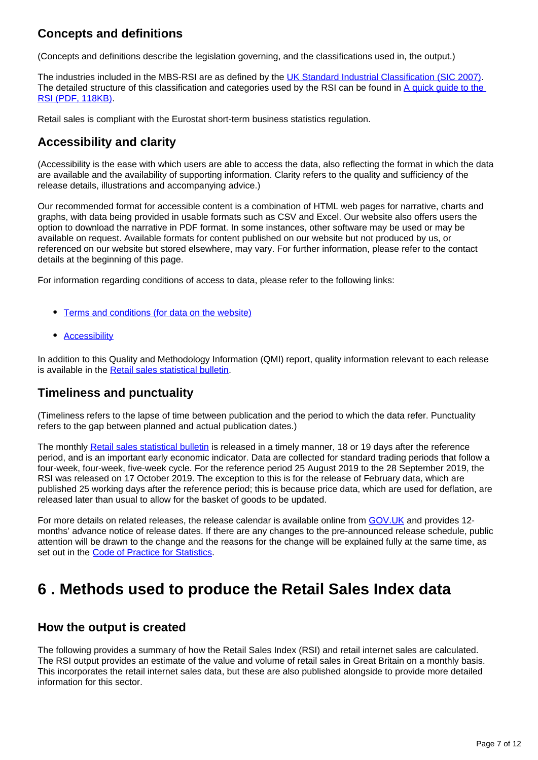# **Concepts and definitions**

(Concepts and definitions describe the legislation governing, and the classifications used in, the output.)

The industries included in the MBS-RSI are as defined by the [UK Standard Industrial Classification \(SIC 2007\).](https://www.ons.gov.uk/methodology/classificationsandstandards/ukstandardindustrialclassificationofeconomicactivities/uksic2007) The detailed structure of this classification and categories used by the RSI can be found in A quick guide to the [RSI \(PDF, 118KB\)](http://www.ons.gov.uk/ons/guide-method/method-quality/specific/economy/retail-sales/quick-guide-to-the-retail-sales-index.pdf).

Retail sales is compliant with the Eurostat short-term business statistics regulation.

# **Accessibility and clarity**

(Accessibility is the ease with which users are able to access the data, also reflecting the format in which the data are available and the availability of supporting information. Clarity refers to the quality and sufficiency of the release details, illustrations and accompanying advice.)

Our recommended format for accessible content is a combination of HTML web pages for narrative, charts and graphs, with data being provided in usable formats such as CSV and Excel. Our website also offers users the option to download the narrative in PDF format. In some instances, other software may be used or may be available on request. Available formats for content published on our website but not produced by us, or referenced on our website but stored elsewhere, may vary. For further information, please refer to the contact details at the beginning of this page.

For information regarding conditions of access to data, please refer to the following links:

- [Terms and conditions \(for data on the website\)](http://www.ons.gov.uk/help/termsandconditions)
- [Accessibility](http://www.ons.gov.uk/help/accessibility)

In addition to this Quality and Methodology Information (QMI) report, quality information relevant to each release is available in the [Retail sales statistical bulletin](https://www.ons.gov.uk/businessindustryandtrade/retailindustry/bulletins/retailsales/previousReleases).

## **Timeliness and punctuality**

(Timeliness refers to the lapse of time between publication and the period to which the data refer. Punctuality refers to the gap between planned and actual publication dates.)

The monthly [Retail sales statistical bulletin](https://www.ons.gov.uk/businessindustryandtrade/retailindustry/bulletins/retailsales/previousReleases) is released in a timely manner, 18 or 19 days after the reference period, and is an important early economic indicator. Data are collected for standard trading periods that follow a four-week, four-week, five-week cycle. For the reference period 25 August 2019 to the 28 September 2019, the RSI was released on 17 October 2019. The exception to this is for the release of February data, which are published 25 working days after the reference period; this is because price data, which are used for deflation, are released later than usual to allow for the basket of goods to be updated.

For more details on related releases, the release calendar is available online from [GOV.UK](http://www.gov.uk/government/statistics/announcements) and provides 12 months' advance notice of release dates. If there are any changes to the pre-announced release schedule, public attention will be drawn to the change and the reasons for the change will be explained fully at the same time, as set out in the [Code of Practice for Statistics.](http://www.statisticsauthority.gov.uk/assessment/code-of-practice/index.html)

# <span id="page-6-0"></span>**6 . Methods used to produce the Retail Sales Index data**

#### **How the output is created**

The following provides a summary of how the Retail Sales Index (RSI) and retail internet sales are calculated. The RSI output provides an estimate of the value and volume of retail sales in Great Britain on a monthly basis. This incorporates the retail internet sales data, but these are also published alongside to provide more detailed information for this sector.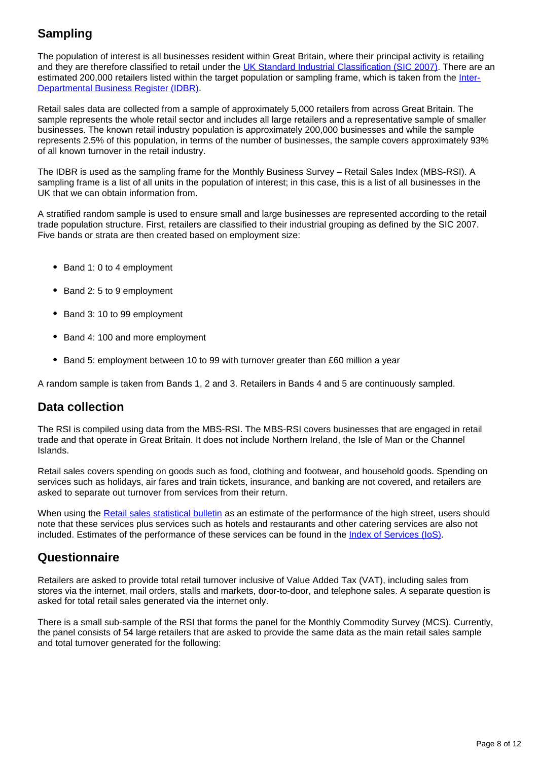# **Sampling**

The population of interest is all businesses resident within Great Britain, where their principal activity is retailing and they are therefore classified to retail under the [UK Standard Industrial Classification \(SIC 2007\).](https://www.ons.gov.uk/methodology/classificationsandstandards/ukstandardindustrialclassificationofeconomicactivities/uksic2007) There are an estimated 200,000 retailers listed within the target population or sampling frame, which is taken from the [Inter-](https://www.ons.gov.uk/aboutus/whatwedo/paidservices/interdepartmentalbusinessregisteridbr)[Departmental Business Register \(IDBR\)](https://www.ons.gov.uk/aboutus/whatwedo/paidservices/interdepartmentalbusinessregisteridbr).

Retail sales data are collected from a sample of approximately 5,000 retailers from across Great Britain. The sample represents the whole retail sector and includes all large retailers and a representative sample of smaller businesses. The known retail industry population is approximately 200,000 businesses and while the sample represents 2.5% of this population, in terms of the number of businesses, the sample covers approximately 93% of all known turnover in the retail industry.

The IDBR is used as the sampling frame for the Monthly Business Survey – Retail Sales Index (MBS-RSI). A sampling frame is a list of all units in the population of interest; in this case, this is a list of all businesses in the UK that we can obtain information from.

A stratified random sample is used to ensure small and large businesses are represented according to the retail trade population structure. First, retailers are classified to their industrial grouping as defined by the SIC 2007. Five bands or strata are then created based on employment size:

- Band 1: 0 to 4 employment
- Band 2: 5 to 9 employment
- Band 3: 10 to 99 employment
- Band 4: 100 and more employment
- Band 5: employment between 10 to 99 with turnover greater than £60 million a year

A random sample is taken from Bands 1, 2 and 3. Retailers in Bands 4 and 5 are continuously sampled.

#### **Data collection**

The RSI is compiled using data from the MBS-RSI. The MBS-RSI covers businesses that are engaged in retail trade and that operate in Great Britain. It does not include Northern Ireland, the Isle of Man or the Channel Islands.

Retail sales covers spending on goods such as food, clothing and footwear, and household goods. Spending on services such as holidays, air fares and train tickets, insurance, and banking are not covered, and retailers are asked to separate out turnover from services from their return.

When using the [Retail sales statistical bulletin](https://www.ons.gov.uk/businessindustryandtrade/retailindustry/bulletins/retailsales/previousReleases) as an estimate of the performance of the high street, users should note that these services plus services such as hotels and restaurants and other catering services are also not included. Estimates of the performance of these services can be found in the *Index of Services (IoS)*.

#### **Questionnaire**

Retailers are asked to provide total retail turnover inclusive of Value Added Tax (VAT), including sales from stores via the internet, mail orders, stalls and markets, door-to-door, and telephone sales. A separate question is asked for total retail sales generated via the internet only.

There is a small sub-sample of the RSI that forms the panel for the Monthly Commodity Survey (MCS). Currently, the panel consists of 54 large retailers that are asked to provide the same data as the main retail sales sample and total turnover generated for the following: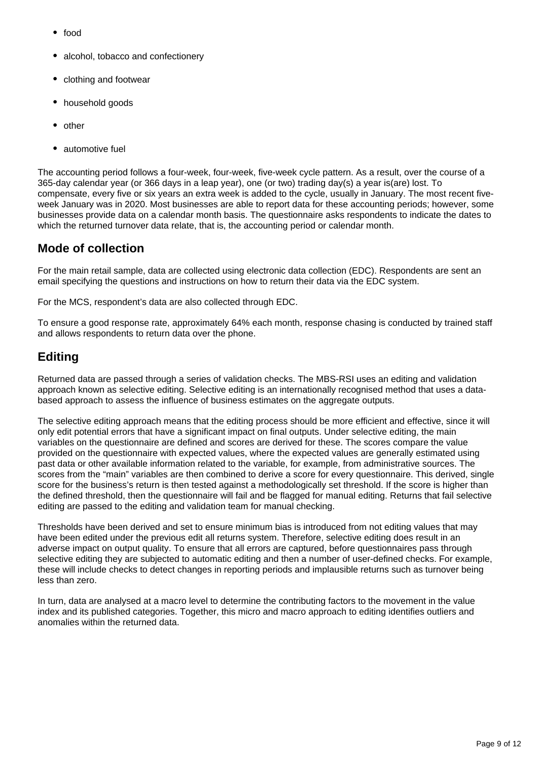- food
- alcohol, tobacco and confectionery
- clothing and footwear
- household goods
- other
- automotive fuel

The accounting period follows a four-week, four-week, five-week cycle pattern. As a result, over the course of a 365-day calendar year (or 366 days in a leap year), one (or two) trading day(s) a year is(are) lost. To compensate, every five or six years an extra week is added to the cycle, usually in January. The most recent fiveweek January was in 2020. Most businesses are able to report data for these accounting periods; however, some businesses provide data on a calendar month basis. The questionnaire asks respondents to indicate the dates to which the returned turnover data relate, that is, the accounting period or calendar month.

## **Mode of collection**

For the main retail sample, data are collected using electronic data collection (EDC). Respondents are sent an email specifying the questions and instructions on how to return their data via the EDC system.

For the MCS, respondent's data are also collected through EDC.

To ensure a good response rate, approximately 64% each month, response chasing is conducted by trained staff and allows respondents to return data over the phone.

## **Editing**

Returned data are passed through a series of validation checks. The MBS-RSI uses an editing and validation approach known as selective editing. Selective editing is an internationally recognised method that uses a databased approach to assess the influence of business estimates on the aggregate outputs.

The selective editing approach means that the editing process should be more efficient and effective, since it will only edit potential errors that have a significant impact on final outputs. Under selective editing, the main variables on the questionnaire are defined and scores are derived for these. The scores compare the value provided on the questionnaire with expected values, where the expected values are generally estimated using past data or other available information related to the variable, for example, from administrative sources. The scores from the "main" variables are then combined to derive a score for every questionnaire. This derived, single score for the business's return is then tested against a methodologically set threshold. If the score is higher than the defined threshold, then the questionnaire will fail and be flagged for manual editing. Returns that fail selective editing are passed to the editing and validation team for manual checking.

Thresholds have been derived and set to ensure minimum bias is introduced from not editing values that may have been edited under the previous edit all returns system. Therefore, selective editing does result in an adverse impact on output quality. To ensure that all errors are captured, before questionnaires pass through selective editing they are subjected to automatic editing and then a number of user-defined checks. For example, these will include checks to detect changes in reporting periods and implausible returns such as turnover being less than zero.

In turn, data are analysed at a macro level to determine the contributing factors to the movement in the value index and its published categories. Together, this micro and macro approach to editing identifies outliers and anomalies within the returned data.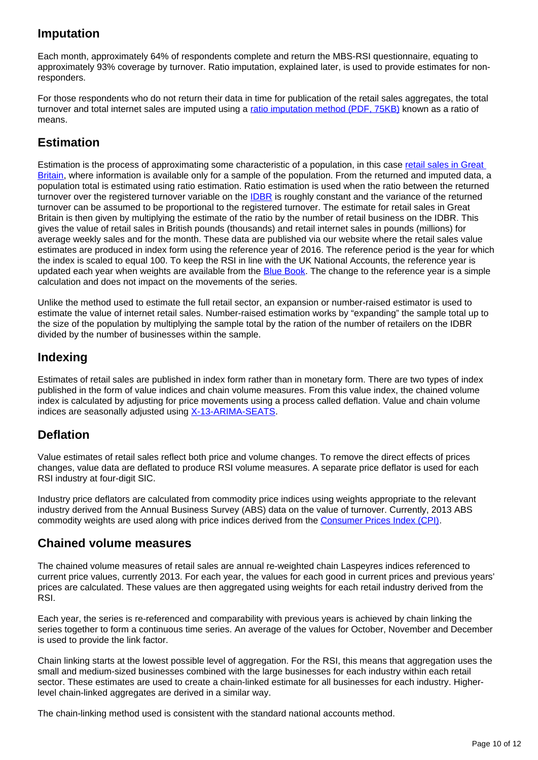# **Imputation**

Each month, approximately 64% of respondents complete and return the MBS-RSI questionnaire, equating to approximately 93% coverage by turnover. Ratio imputation, explained later, is used to provide estimates for nonresponders.

For those respondents who do not return their data in time for publication of the retail sales aggregates, the total turnover and total internet sales are imputed using a [ratio imputation method \(PDF, 75KB\)](http://www.ons.gov.uk/ons/guide-method/method-quality/specific/economy/retail-sales/change-to-imputation-method.pdf) known as a ratio of means.

# **Estimation**

Estimation is the process of approximating some characteristic of a population, in this case [retail sales in Great](https://www.ons.gov.uk/businessindustryandtrade/retailindustry/bulletins/retailsales/previousReleases)  [Britain,](https://www.ons.gov.uk/businessindustryandtrade/retailindustry/bulletins/retailsales/previousReleases) where information is available only for a sample of the population. From the returned and imputed data, a population total is estimated using ratio estimation. Ratio estimation is used when the ratio between the returned turnover over the registered turnover variable on the **IDBR** is roughly constant and the variance of the returned turnover can be assumed to be proportional to the registered turnover. The estimate for retail sales in Great Britain is then given by multiplying the estimate of the ratio by the number of retail business on the IDBR. This gives the value of retail sales in British pounds (thousands) and retail internet sales in pounds (millions) for average weekly sales and for the month. These data are published via our website where the retail sales value estimates are produced in index form using the reference year of 2016. The reference period is the year for which the index is scaled to equal 100. To keep the RSI in line with the UK National Accounts, the reference year is updated each year when weights are available from the **Blue Book**. The change to the reference year is a simple calculation and does not impact on the movements of the series.

Unlike the method used to estimate the full retail sector, an expansion or number-raised estimator is used to estimate the value of internet retail sales. Number-raised estimation works by "expanding" the sample total up to the size of the population by multiplying the sample total by the ration of the number of retailers on the IDBR divided by the number of businesses within the sample.

## **Indexing**

Estimates of retail sales are published in index form rather than in monetary form. There are two types of index published in the form of value indices and chain volume measures. From this value index, the chained volume index is calculated by adjusting for price movements using a process called deflation. Value and chain volume indices are seasonally adjusted using [X-13-ARIMA-SEATS.](https://www.ons.gov.uk/methodology/methodologytopicsandstatisticalconcepts/seasonaladjustment)

## **Deflation**

Value estimates of retail sales reflect both price and volume changes. To remove the direct effects of prices changes, value data are deflated to produce RSI volume measures. A separate price deflator is used for each RSI industry at four-digit SIC.

Industry price deflators are calculated from commodity price indices using weights appropriate to the relevant industry derived from the Annual Business Survey (ABS) data on the value of turnover. Currently, 2013 ABS commodity weights are used along with price indices derived from the [Consumer Prices Index \(CPI\)](https://www.ons.gov.uk/economy/inflationandpriceindices/methodologies/consumerpricesindicestechnicalmanual2019).

#### **Chained volume measures**

The chained volume measures of retail sales are annual re-weighted chain Laspeyres indices referenced to current price values, currently 2013. For each year, the values for each good in current prices and previous years' prices are calculated. These values are then aggregated using weights for each retail industry derived from the RSI.

Each year, the series is re-referenced and comparability with previous years is achieved by chain linking the series together to form a continuous time series. An average of the values for October, November and December is used to provide the link factor.

Chain linking starts at the lowest possible level of aggregation. For the RSI, this means that aggregation uses the small and medium-sized businesses combined with the large businesses for each industry within each retail sector. These estimates are used to create a chain-linked estimate for all businesses for each industry. Higherlevel chain-linked aggregates are derived in a similar way.

The chain-linking method used is consistent with the standard national accounts method.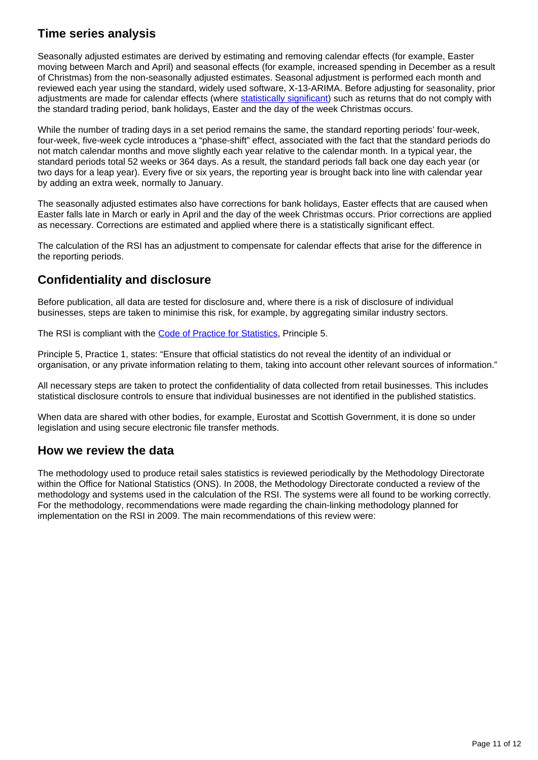# **Time series analysis**

Seasonally adjusted estimates are derived by estimating and removing calendar effects (for example, Easter moving between March and April) and seasonal effects (for example, increased spending in December as a result of Christmas) from the non-seasonally adjusted estimates. Seasonal adjustment is performed each month and reviewed each year using the standard, widely used software, X-13-ARIMA. Before adjusting for seasonality, prior adjustments are made for calendar effects (where [statistically significant](https://www.ons.gov.uk/methodology/methodologytopicsandstatisticalconcepts/uncertaintyandhowwemeasureit#statistical-significance)) such as returns that do not comply with the standard trading period, bank holidays, Easter and the day of the week Christmas occurs.

While the number of trading days in a set period remains the same, the standard reporting periods' four-week, four-week, five-week cycle introduces a "phase-shift" effect, associated with the fact that the standard periods do not match calendar months and move slightly each year relative to the calendar month. In a typical year, the standard periods total 52 weeks or 364 days. As a result, the standard periods fall back one day each year (or two days for a leap year). Every five or six years, the reporting year is brought back into line with calendar year by adding an extra week, normally to January.

The seasonally adjusted estimates also have corrections for bank holidays, Easter effects that are caused when Easter falls late in March or early in April and the day of the week Christmas occurs. Prior corrections are applied as necessary. Corrections are estimated and applied where there is a statistically significant effect.

The calculation of the RSI has an adjustment to compensate for calendar effects that arise for the difference in the reporting periods.

# **Confidentiality and disclosure**

Before publication, all data are tested for disclosure and, where there is a risk of disclosure of individual businesses, steps are taken to minimise this risk, for example, by aggregating similar industry sectors.

The RSI is compliant with the [Code of Practice for Statistics](http://www.statisticsauthority.gov.uk/assessment/code-of-practice/index.html), Principle 5.

Principle 5, Practice 1, states: "Ensure that official statistics do not reveal the identity of an individual or organisation, or any private information relating to them, taking into account other relevant sources of information."

All necessary steps are taken to protect the confidentiality of data collected from retail businesses. This includes statistical disclosure controls to ensure that individual businesses are not identified in the published statistics.

When data are shared with other bodies, for example, Eurostat and Scottish Government, it is done so under legislation and using secure electronic file transfer methods.

#### **How we review the data**

The methodology used to produce retail sales statistics is reviewed periodically by the Methodology Directorate within the Office for National Statistics (ONS). In 2008, the Methodology Directorate conducted a review of the methodology and systems used in the calculation of the RSI. The systems were all found to be working correctly. For the methodology, recommendations were made regarding the chain-linking methodology planned for implementation on the RSI in 2009. The main recommendations of this review were: